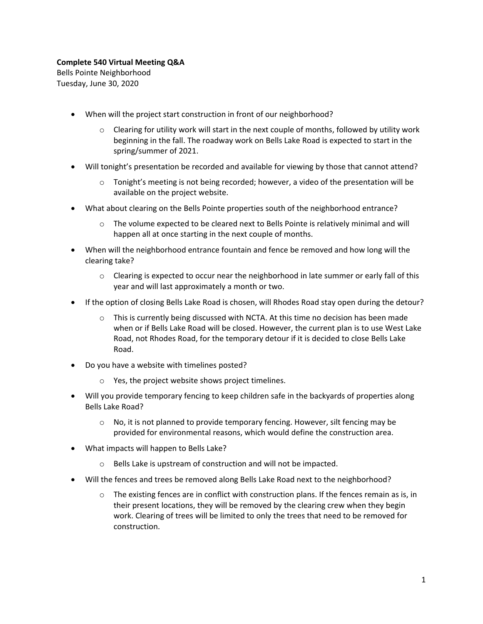## **Complete 540 Virtual Meeting Q&A**

Bells Pointe Neighborhood Tuesday, June 30, 2020

- When will the project start construction in front of our neighborhood?
	- $\circ$  Clearing for utility work will start in the next couple of months, followed by utility work beginning in the fall. The roadway work on Bells Lake Road is expected to start in the spring/summer of 2021.
- Will tonight's presentation be recorded and available for viewing by those that cannot attend?
	- $\circ$  Tonight's meeting is not being recorded; however, a video of the presentation will be available on the project website.
- What about clearing on the Bells Pointe properties south of the neighborhood entrance?
	- o The volume expected to be cleared next to Bells Pointe is relatively minimal and will happen all at once starting in the next couple of months.
- When will the neighborhood entrance fountain and fence be removed and how long will the clearing take?
	- $\circ$  Clearing is expected to occur near the neighborhood in late summer or early fall of this year and will last approximately a month or two.
- If the option of closing Bells Lake Road is chosen, will Rhodes Road stay open during the detour?
	- $\circ$  This is currently being discussed with NCTA. At this time no decision has been made when or if Bells Lake Road will be closed. However, the current plan is to use West Lake Road, not Rhodes Road, for the temporary detour if it is decided to close Bells Lake Road.
- Do you have a website with timelines posted?
	- o Yes, the project website shows project timelines.
- Will you provide temporary fencing to keep children safe in the backyards of properties along Bells Lake Road?
	- $\circ$  No, it is not planned to provide temporary fencing. However, silt fencing may be provided for environmental reasons, which would define the construction area.
- What impacts will happen to Bells Lake?
	- o Bells Lake is upstream of construction and will not be impacted.
- Will the fences and trees be removed along Bells Lake Road next to the neighborhood?
	- $\circ$  The existing fences are in conflict with construction plans. If the fences remain as is, in their present locations, they will be removed by the clearing crew when they begin work. Clearing of trees will be limited to only the trees that need to be removed for construction.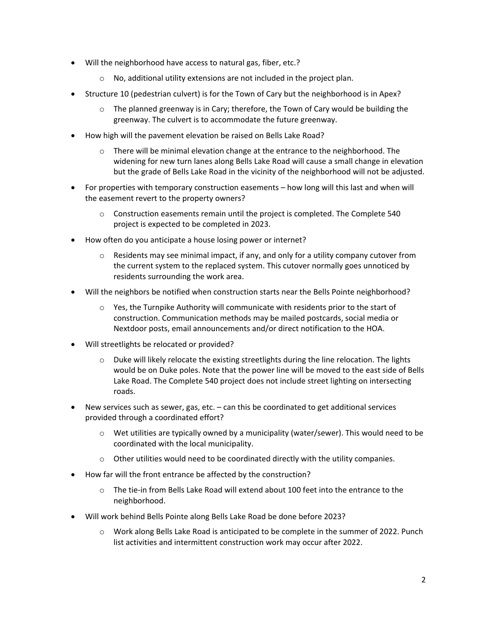- Will the neighborhood have access to natural gas, fiber, etc.?
	- o No, additional utility extensions are not included in the project plan.
- Structure 10 (pedestrian culvert) is for the Town of Cary but the neighborhood is in Apex?
	- $\circ$  The planned greenway is in Cary; therefore, the Town of Cary would be building the greenway. The culvert is to accommodate the future greenway.
- How high will the pavement elevation be raised on Bells Lake Road?
	- $\circ$  There will be minimal elevation change at the entrance to the neighborhood. The widening for new turn lanes along Bells Lake Road will cause a small change in elevation but the grade of Bells Lake Road in the vicinity of the neighborhood will not be adjusted.
- For properties with temporary construction easements how long will this last and when will the easement revert to the property owners?
	- $\circ$  Construction easements remain until the project is completed. The Complete 540 project is expected to be completed in 2023.
- How often do you anticipate a house losing power or internet?
	- $\circ$  Residents may see minimal impact, if any, and only for a utility company cutover from the current system to the replaced system. This cutover normally goes unnoticed by residents surrounding the work area.
- Will the neighbors be notified when construction starts near the Bells Pointe neighborhood?
	- $\circ$  Yes, the Turnpike Authority will communicate with residents prior to the start of construction. Communication methods may be mailed postcards, social media or Nextdoor posts, email announcements and/or direct notification to the HOA.
- Will streetlights be relocated or provided?
	- Duke will likely relocate the existing streetlights during the line relocation. The lights would be on Duke poles. Note that the power line will be moved to the east side of Bells Lake Road. The Complete 540 project does not include street lighting on intersecting roads.
- New services such as sewer, gas, etc. can this be coordinated to get additional services provided through a coordinated effort?
	- $\circ$  Wet utilities are typically owned by a municipality (water/sewer). This would need to be coordinated with the local municipality.
	- o Other utilities would need to be coordinated directly with the utility companies.
- How far will the front entrance be affected by the construction?
	- $\circ$  The tie-in from Bells Lake Road will extend about 100 feet into the entrance to the neighborhood.
- Will work behind Bells Pointe along Bells Lake Road be done before 2023?
	- $\circ$  Work along Bells Lake Road is anticipated to be complete in the summer of 2022. Punch list activities and intermittent construction work may occur after 2022.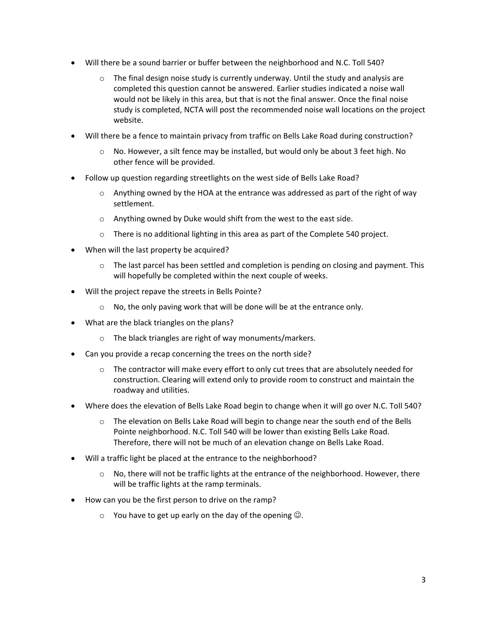- Will there be a sound barrier or buffer between the neighborhood and N.C. Toll 540?
	- $\circ$  The final design noise study is currently underway. Until the study and analysis are completed this question cannot be answered. Earlier studies indicated a noise wall would not be likely in this area, but that is not the final answer. Once the final noise study is completed, NCTA will post the recommended noise wall locations on the project website.
- Will there be a fence to maintain privacy from traffic on Bells Lake Road during construction?
	- $\circ$  No. However, a silt fence may be installed, but would only be about 3 feet high. No other fence will be provided.
- Follow up question regarding streetlights on the west side of Bells Lake Road?
	- $\circ$  Anything owned by the HOA at the entrance was addressed as part of the right of way settlement.
	- o Anything owned by Duke would shift from the west to the east side.
	- o There is no additional lighting in this area as part of the Complete 540 project.
- When will the last property be acquired?
	- $\circ$  The last parcel has been settled and completion is pending on closing and payment. This will hopefully be completed within the next couple of weeks.
- Will the project repave the streets in Bells Pointe?
	- o No, the only paving work that will be done will be at the entrance only.
- What are the black triangles on the plans?
	- o The black triangles are right of way monuments/markers.
- Can you provide a recap concerning the trees on the north side?
	- $\circ$  The contractor will make every effort to only cut trees that are absolutely needed for construction. Clearing will extend only to provide room to construct and maintain the roadway and utilities.
- Where does the elevation of Bells Lake Road begin to change when it will go over N.C. Toll 540?
	- $\circ$  The elevation on Bells Lake Road will begin to change near the south end of the Bells Pointe neighborhood. N.C. Toll 540 will be lower than existing Bells Lake Road. Therefore, there will not be much of an elevation change on Bells Lake Road.
- Will a traffic light be placed at the entrance to the neighborhood?
	- $\circ$  No, there will not be traffic lights at the entrance of the neighborhood. However, there will be traffic lights at the ramp terminals.
- How can you be the first person to drive on the ramp?
	- $\circ$  You have to get up early on the day of the opening  $\odot$ .